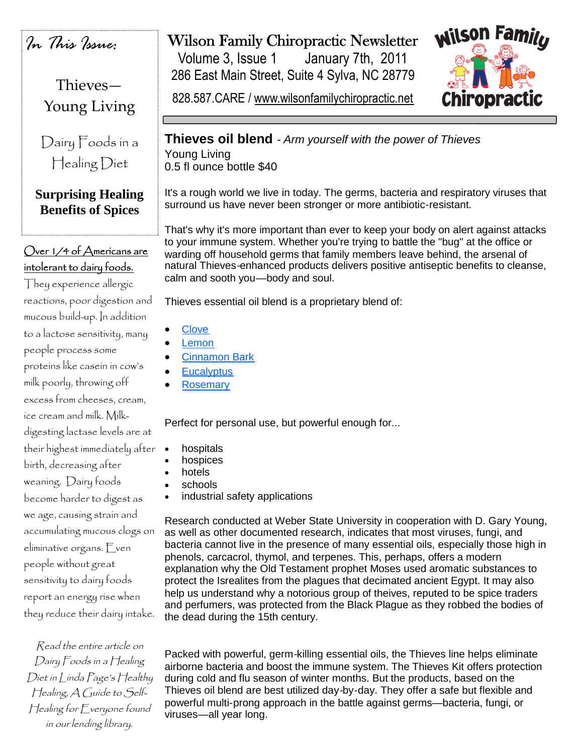*In This Issue:*

Thieves— Young Living

Dairy Foods in a Healing Diet

## **Surprising Healing Benefits of Spices**

# Over 1/4 of Americans are intolerant to dairy foods.

They experience allergic reactions, poor digestion and mucous build-up. In addition to a lactose sensitivity, many people process some proteins like casein in cow's milk poorly, throwing off excess from cheeses, cream, ice cream and milk. Milkdigesting lactase levels are at their highest immediately after birth, decreasing after weaning. Dairy foods become harder to digest as we age, causing strain and accumulating mucous clogs on eliminative organs. Even people without great sensitivity to dairy foods report an energy rise when they reduce their dairy intake.

Read the entire article on Dairy Foods in <sup>a</sup> Healing Diet in Linda Page's Healthy Healing, A Guide to Self-Healing for Everyone found in our lending library.

# Wilson Family Chiropractic Newsletter

Volume 3, Issue 1 January 7th, 2011 286 East Main Street, Suite 4 Sylva, NC 28779

828.587.CARE / www.wilsonfamilychiropractic.net



**Thieves oil blend** *- Arm yourself with the power of Thieves* Young Living 0.5 fl ounce bottle \$40

It's a rough world we live in today. The germs, bacteria and respiratory viruses that surround us have never been stronger or more antibiotic-resistant.

That's why it's more important than ever to keep your body on alert against attacks to your immune system. Whether you're trying to battle the "bug" at the office or warding off household germs that family members leave behind, the arsenal of natural Thieves-enhanced products delivers positive antiseptic benefits to cleanse, calm and sooth you—body and soul.

Thieves essential oil blend is a proprietary blend of:

- **Clove**
- **Lemon**
- Cinnamon Bark
- **Eucalyptus**
- **Rosemary**

Perfect for personal use, but powerful enough for...

- hospitals
- hospices
- hotels
- schools
- industrial safety applications

Research conducted at Weber State University in cooperation with D. Gary Young, as well as other documented research, indicates that most viruses, fungi, and bacteria cannot live in the presence of many essential oils, especially those high in phenols, carcacrol, thymol, and terpenes. This, perhaps, offers a modern explanation why the Old Testament prophet Moses used aromatic substances to protect the Isrealites from the plagues that decimated ancient Egypt. It may also help us understand why a notorious group of theives, reputed to be spice traders and perfumers, was protected from the Black Plague as they robbed the bodies of the dead during the 15th century.

Packed with powerful, germ-killing essential oils, the Thieves line helps eliminate airborne bacteria and boost the immune system. The Thieves Kit offers protection during cold and flu season of winter months. But the products, based on the Thieves oil blend are best utilized day-by-day. They offer a safe but flexible and powerful multi-prong approach in the battle against germs—bacteria, fungi, or viruses—all year long.